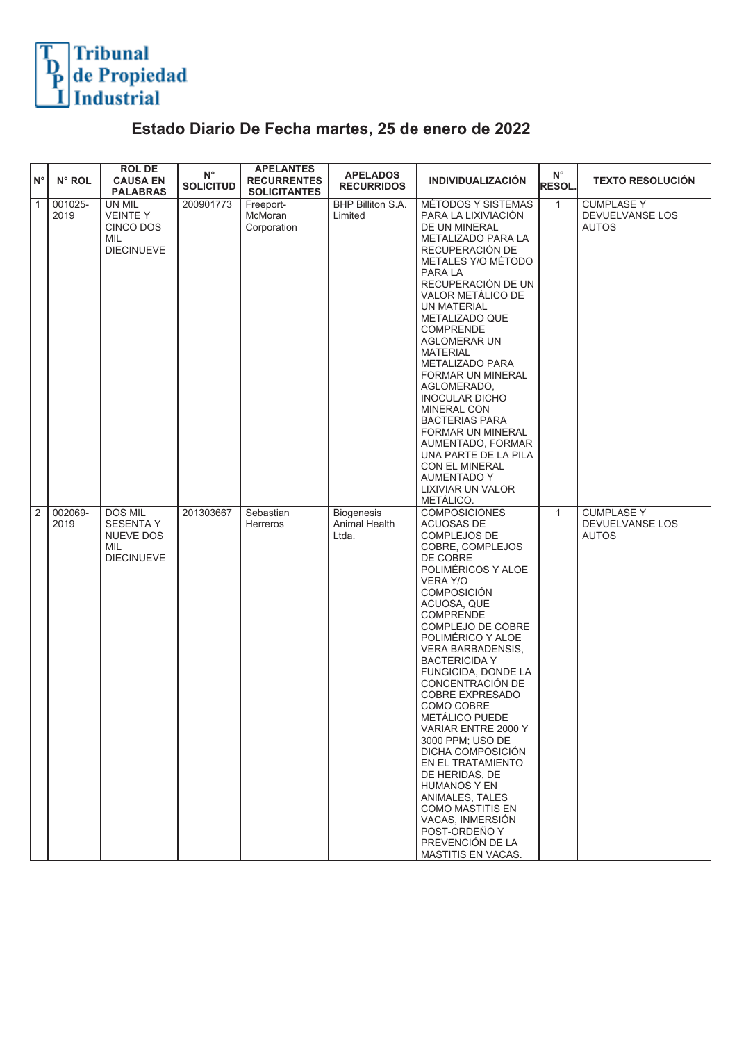

## **Estado Diario De Fecha martes, 25 de enero de 2022**

| ١N°            | N° ROL          | <b>ROLDE</b><br><b>CAUSA EN</b><br><b>PALABRAS</b>                   | $N^{\circ}$<br><b>SOLICITUD</b> | <b>APELANTES</b><br><b>RECURRENTES</b><br><b>SOLICITANTES</b> | <b>APELADOS</b><br><b>RECURRIDOS</b>        | <b>INDIVIDUALIZACIÓN</b>                                                                                                                                                                                                                                                                                                                                                                                                                                                                                                                                                                                                                    | $N^{\circ}$<br>RESOL. | <b>TEXTO RESOLUCIÓN</b>                              |
|----------------|-----------------|----------------------------------------------------------------------|---------------------------------|---------------------------------------------------------------|---------------------------------------------|---------------------------------------------------------------------------------------------------------------------------------------------------------------------------------------------------------------------------------------------------------------------------------------------------------------------------------------------------------------------------------------------------------------------------------------------------------------------------------------------------------------------------------------------------------------------------------------------------------------------------------------------|-----------------------|------------------------------------------------------|
| $\overline{1}$ | 001025-<br>2019 | UN MIL<br><b>VEINTEY</b><br>CINCO DOS<br>MIL<br><b>DIECINUEVE</b>    | 200901773                       | Freeport-<br>McMoran<br>Corporation                           | BHP Billiton S.A.<br>Limited                | MÉTODOS Y SISTEMAS<br>PARA LA LIXIVIACIÓN<br>DE UN MINERAL<br>METALIZADO PARA LA<br>RECUPERACIÓN DE<br>METALES Y/O MÉTODO<br>PARA LA<br>RECUPERACIÓN DE UN<br>VALOR METÁLICO DE<br>UN MATERIAL<br>METALIZADO QUE<br><b>COMPRENDE</b><br><b>AGLOMERAR UN</b><br><b>MATERIAL</b><br><b>METALIZADO PARA</b><br>FORMAR UN MINERAL<br>AGLOMERADO,<br><b>INOCULAR DICHO</b><br><b>MINERAL CON</b><br><b>BACTERIAS PARA</b><br><b>FORMAR UN MINERAL</b><br>AUMENTADO, FORMAR<br>UNA PARTE DE LA PILA<br><b>CON EL MINERAL</b><br><b>AUMENTADO Y</b><br>LIXIVIAR UN VALOR<br>METÁLICO.                                                              | $\mathbf{1}$          | <b>CUMPLASE Y</b><br>DEVUELVANSE LOS<br><b>AUTOS</b> |
| $\overline{2}$ | 002069-<br>2019 | DOS MIL<br><b>SESENTA Y</b><br>NUEVE DOS<br>MIL<br><b>DIECINUEVE</b> | 201303667                       | Sebastian<br>Herreros                                         | <b>Biogenesis</b><br>Animal Health<br>Ltda. | <b>COMPOSICIONES</b><br>ACUOSAS DE<br>COMPLEJOS DE<br>COBRE, COMPLEJOS<br>DE COBRE<br>POLIMÉRICOS Y ALOE<br><b>VERA Y/O</b><br><b>COMPOSICIÓN</b><br>ACUOSA, QUE<br><b>COMPRENDE</b><br>COMPLEJO DE COBRE<br>POLIMÉRICO Y ALOE<br>VERA BARBADENSIS,<br><b>BACTERICIDA Y</b><br>FUNGICIDA, DONDE LA<br>CONCENTRACIÓN DE<br><b>COBRE EXPRESADO</b><br>COMO COBRE<br>METÁLICO PUEDE<br>VARIAR ENTRE 2000 Y<br>3000 PPM; USO DE<br>DICHA COMPOSICIÓN<br>EN EL TRATAMIENTO<br>DE HERIDAS, DE<br><b>HUMANOS Y EN</b><br>ANIMALES, TALES<br><b>COMO MASTITIS EN</b><br>VACAS, INMERSIÓN<br>POST-ORDEÑO Y<br>PREVENCIÓN DE LA<br>MASTITIS EN VACAS. | $\mathbf{1}$          | <b>CUMPLASE Y</b><br>DEVUELVANSE LOS<br><b>AUTOS</b> |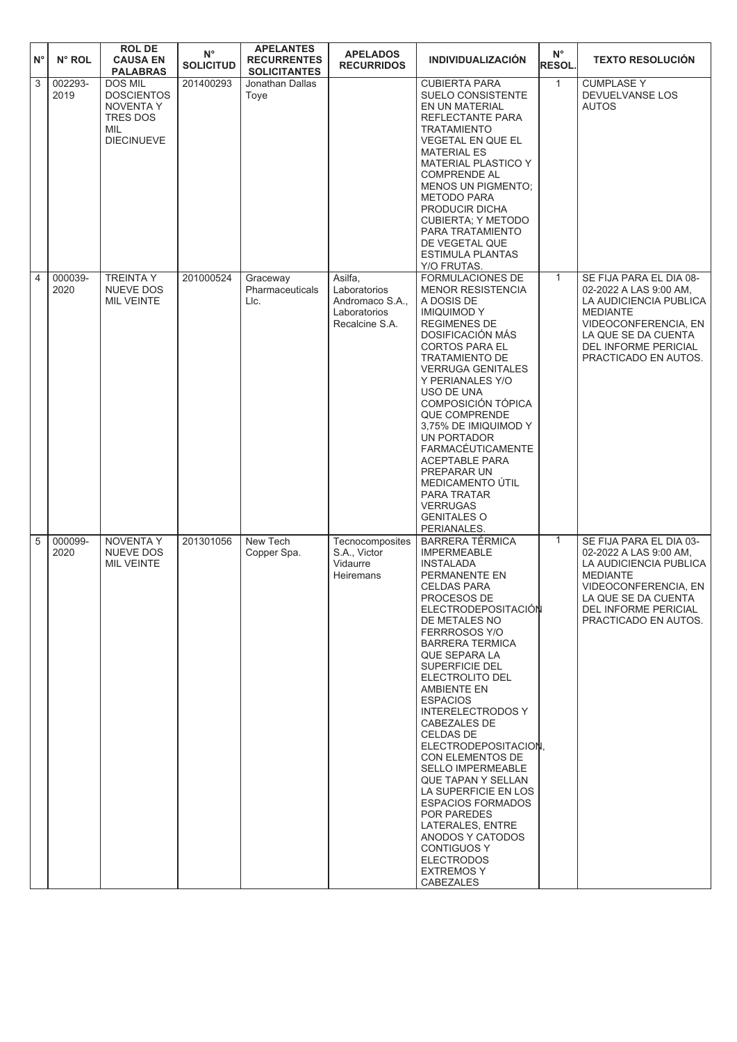| $N^{\circ}$ | N° ROL          | <b>ROL DE</b><br><b>CAUSA EN</b><br><b>PALABRAS</b>                                      | $N^{\circ}$<br><b>SOLICITUD</b> | <b>APELANTES</b><br><b>RECURRENTES</b><br><b>SOLICITANTES</b> | <b>APELADOS</b><br><b>RECURRIDOS</b>                                         | <b>INDIVIDUALIZACIÓN</b>                                                                                                                                                                                                                                                                                                                                                                                                                                                                                                                                                                                                                               | $N^{\circ}$<br><b>RESOL.</b> | <b>TEXTO RESOLUCIÓN</b>                                                                                                                                                                       |
|-------------|-----------------|------------------------------------------------------------------------------------------|---------------------------------|---------------------------------------------------------------|------------------------------------------------------------------------------|--------------------------------------------------------------------------------------------------------------------------------------------------------------------------------------------------------------------------------------------------------------------------------------------------------------------------------------------------------------------------------------------------------------------------------------------------------------------------------------------------------------------------------------------------------------------------------------------------------------------------------------------------------|------------------------------|-----------------------------------------------------------------------------------------------------------------------------------------------------------------------------------------------|
| 3           | 002293-<br>2019 | <b>DOS MIL</b><br><b>DOSCIENTOS</b><br>NOVENTA Y<br>TRES DOS<br>MIL<br><b>DIECINUEVE</b> | 201400293                       | Jonathan Dallas<br>Toye                                       |                                                                              | <b>CUBIERTA PARA</b><br>SUELO CONSISTENTE<br>EN UN MATERIAL<br>REFLECTANTE PARA<br><b>TRATAMIENTO</b><br><b>VEGETAL EN QUE EL</b><br><b>MATERIAL ES</b><br><b>MATERIAL PLASTICO Y</b><br><b>COMPRENDE AL</b><br><b>MENOS UN PIGMENTO;</b><br><b>METODO PARA</b><br>PRODUCIR DICHA<br><b>CUBIERTA: Y METODO</b><br>PARA TRATAMIENTO<br>DE VEGETAL QUE<br><b>ESTIMULA PLANTAS</b><br>Y/O FRUTAS.                                                                                                                                                                                                                                                         | $\mathbf{1}$                 | <b>CUMPLASE Y</b><br>DEVUELVANSE LOS<br><b>AUTOS</b>                                                                                                                                          |
| 4           | 000039-<br>2020 | <b>TREINTA Y</b><br><b>NUEVE DOS</b><br><b>MIL VEINTE</b>                                | 201000524                       | Graceway<br>Pharmaceuticals<br>LIc.                           | Asilfa,<br>Laboratorios<br>Andromaco S.A.,<br>Laboratorios<br>Recalcine S.A. | FORMULACIONES DE<br><b>MENOR RESISTENCIA</b><br>A DOSIS DE<br><b>IMIQUIMODY</b><br><b>REGIMENES DE</b><br>DOSIFICACIÓN MÁS<br><b>CORTOS PARA EL</b><br><b>TRATAMIENTO DE</b><br><b>VERRUGA GENITALES</b><br>Y PERIANALES Y/O<br>USO DE UNA<br>COMPOSICIÓN TÓPICA<br><b>QUE COMPRENDE</b><br>3,75% DE IMIQUIMOD Y<br>UN PORTADOR<br><b>FARMACÉUTICAMENTE</b><br><b>ACEPTABLE PARA</b><br>PREPARAR UN<br>MEDICAMENTO UTIL<br>PARA TRATAR<br><b>VERRUGAS</b><br><b>GENITALES O</b><br>PERIANALES.                                                                                                                                                         | $\mathbf{1}$                 | SE FIJA PARA EL DIA 08-<br>02-2022 A LAS 9:00 AM,<br>LA AUDICIENCIA PUBLICA<br><b>MEDIANTE</b><br>VIDEOCONFERENCIA, EN<br>LA QUE SE DA CUENTA<br>DEL INFORME PERICIAL<br>PRACTICADO EN AUTOS. |
| 5           | 000099-<br>2020 | <b>NOVENTA Y</b><br><b>NUEVE DOS</b><br><b>MIL VEINTE</b>                                | 201301056                       | New Tech<br>Copper Spa.                                       | Tecnocomposites<br>S.A., Victor<br>Vidaurre<br><b>Heiremans</b>              | <b>BARRERA TÉRMICA</b><br><b>IMPERMEABLE</b><br><b>INSTALADA</b><br>PERMANENTE EN<br><b>CELDAS PARA</b><br>PROCESOS DE<br>ELECTRODEPOSITACIÓN<br>DE METALES NO<br>FERRROSOS Y/O<br><b>BARRERA TERMICA</b><br>QUE SEPARA LA<br>SUPERFICIE DEL<br>ELECTROLITO DEL<br>AMBIENTE EN<br><b>ESPACIOS</b><br><b>INTERELECTRODOS Y</b><br>CABEZALES DE<br><b>CELDAS DE</b><br>ELECTRODEPOSITACION,<br>CON ELEMENTOS DE<br><b>SELLO IMPERMEABLE</b><br>QUE TAPAN Y SELLAN<br>LA SUPERFICIE EN LOS<br><b>ESPACIOS FORMADOS</b><br>POR PAREDES<br>LATERALES, ENTRE<br>ANODOS Y CATODOS<br><b>CONTIGUOS Y</b><br><b>ELECTRODOS</b><br><b>EXTREMOSY</b><br>CABEZALES | 1                            | SE FIJA PARA EL DIA 03-<br>02-2022 A LAS 9:00 AM,<br>LA AUDICIENCIA PUBLICA<br><b>MEDIANTE</b><br>VIDEOCONFERENCIA, EN<br>LA QUE SE DA CUENTA<br>DEL INFORME PERICIAL<br>PRACTICADO EN AUTOS. |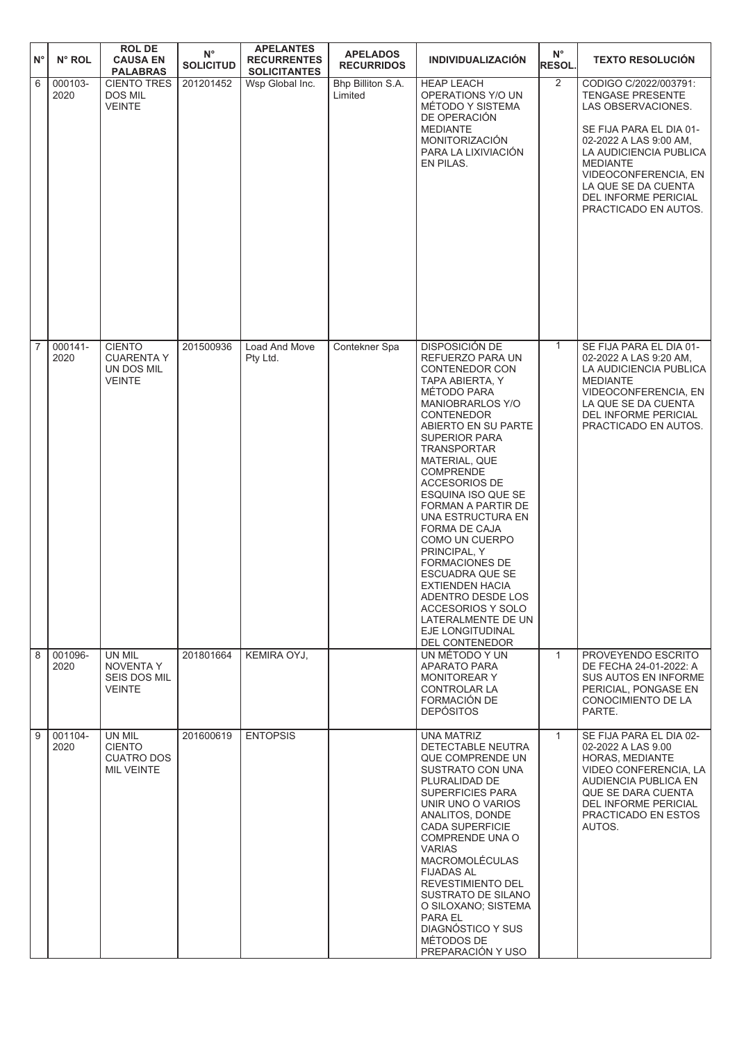| $N^{\circ}$    | N° ROL          | <b>ROL DE</b><br><b>CAUSA EN</b><br><b>PALABRAS</b>               | $\mathsf{N}^\circ$<br><b>SOLICITUD</b> | <b>APELANTES</b><br><b>RECURRENTES</b><br><b>SOLICITANTES</b> | <b>APELADOS</b><br><b>RECURRIDOS</b> | <b>INDIVIDUALIZACIÓN</b>                                                                                                                                                                                                                                                                                                                                                                                                                                                                                                                                                 | $N^{\circ}$<br><b>RESOL.</b> | <b>TEXTO RESOLUCIÓN</b>                                                                                                                                                                                                                                                        |
|----------------|-----------------|-------------------------------------------------------------------|----------------------------------------|---------------------------------------------------------------|--------------------------------------|--------------------------------------------------------------------------------------------------------------------------------------------------------------------------------------------------------------------------------------------------------------------------------------------------------------------------------------------------------------------------------------------------------------------------------------------------------------------------------------------------------------------------------------------------------------------------|------------------------------|--------------------------------------------------------------------------------------------------------------------------------------------------------------------------------------------------------------------------------------------------------------------------------|
| 6              | 000103-<br>2020 | <b>CIENTO TRES</b><br>DOS MIL<br><b>VEINTE</b>                    | 201201452                              | Wsp Global Inc.                                               | Bhp Billiton S.A.<br>Limited         | <b>HEAP LEACH</b><br>OPERATIONS Y/O UN<br>MÉTODO Y SISTEMA<br>DE OPERACIÓN<br><b>MEDIANTE</b><br><b>MONITORIZACIÓN</b><br>PARA LA LIXIVIACIÓN<br>EN PILAS.                                                                                                                                                                                                                                                                                                                                                                                                               | $\overline{2}$               | CODIGO C/2022/003791:<br><b>TENGASE PRESENTE</b><br>LAS OBSERVACIONES.<br>SE FIJA PARA EL DIA 01-<br>02-2022 A LAS 9:00 AM,<br>LA AUDICIENCIA PUBLICA<br><b>MEDIANTE</b><br>VIDEOCONFERENCIA, EN<br>LA QUE SE DA CUENTA<br><b>DEL INFORME PERICIAL</b><br>PRACTICADO EN AUTOS. |
| $\overline{7}$ | 000141-<br>2020 | <b>CIENTO</b><br><b>CUARENTA Y</b><br>UN DOS MIL<br><b>VEINTE</b> | 201500936                              | Load And Move<br>Pty Ltd.                                     | Contekner Spa                        | DISPOSICIÓN DE<br>REFUERZO PARA UN<br><b>CONTENEDOR CON</b><br>TAPA ABIERTA, Y<br>MÉTODO PARA<br><b>MANIOBRARLOS Y/O</b><br><b>CONTENEDOR</b><br>ABIERTO EN SU PARTE<br><b>SUPERIOR PARA</b><br><b>TRANSPORTAR</b><br>MATERIAL, QUE<br><b>COMPRENDE</b><br><b>ACCESORIOS DE</b><br>ESQUINA ISO QUE SE<br>FORMAN A PARTIR DE<br>UNA ESTRUCTURA EN<br>FORMA DE CAJA<br>COMO UN CUERPO<br>PRINCIPAL, Y<br><b>FORMACIONES DE</b><br>ESCUADRA QUE SE<br>EXTIENDEN HACIA<br>ADENTRO DESDE LOS<br>ACCESORIOS Y SOLO<br>LATERALMENTE DE UN<br>EJE LONGITUDINAL<br>DEL CONTENEDOR | 1                            | SE FIJA PARA EL DIA 01-<br>02-2022 A LAS 9:20 AM,<br>LA AUDICIENCIA PUBLICA<br><b>MEDIANTE</b><br>VIDEOCONFERENCIA, EN<br>LA QUE SE DA CUENTA<br><b>DEL INFORME PERICIAL</b><br>PRACTICADO EN AUTOS.                                                                           |
| 8              | 001096-<br>2020 | UN MIL<br>NOVENTA Y<br>SEIS DOS MIL<br><b>VEINTE</b>              | 201801664                              | KEMIRA OYJ,                                                   |                                      | UN MÉTODO Y UN<br>APARATO PARA<br><b>MONITOREAR Y</b><br>CONTROLAR LA<br>FORMACIÓN DE<br><b>DEPÓSITOS</b>                                                                                                                                                                                                                                                                                                                                                                                                                                                                | $\mathbf{1}$                 | PROVEYENDO ESCRITO<br>DE FECHA 24-01-2022: A<br>SUS AUTOS EN INFORME<br>PERICIAL, PONGASE EN<br>CONOCIMIENTO DE LA<br>PARTE.                                                                                                                                                   |
| 9              | 001104-<br>2020 | UN MIL<br><b>CIENTO</b><br><b>CUATRO DOS</b><br><b>MIL VEINTE</b> | 201600619                              | <b>ENTOPSIS</b>                                               |                                      | <b>UNA MATRIZ</b><br>DETECTABLE NEUTRA<br>QUE COMPRENDE UN<br>SUSTRATO CON UNA<br>PLURALIDAD DE<br>SUPERFICIES PARA<br>UNIR UNO O VARIOS<br>ANALITOS, DONDE<br><b>CADA SUPERFICIE</b><br>COMPRENDE UNA O<br><b>VARIAS</b><br><b>MACROMOLÉCULAS</b><br><b>FIJADAS AL</b><br>REVESTIMIENTO DEL<br>SUSTRATO DE SILANO<br>O SILOXANO; SISTEMA<br>PARA EL<br>DIAGNÓSTICO Y SUS<br>MÉTODOS DE<br>PREPARACIÓN Y USO                                                                                                                                                             | $\mathbf{1}$                 | SE FIJA PARA EL DIA 02-<br>02-2022 A LAS 9.00<br>HORAS, MEDIANTE<br>VIDEO CONFERENCIA, LA<br>AUDIENCIA PUBLICA EN<br>QUE SE DARA CUENTA<br>DEL INFORME PERICIAL<br>PRACTICADO EN ESTOS<br>AUTOS.                                                                               |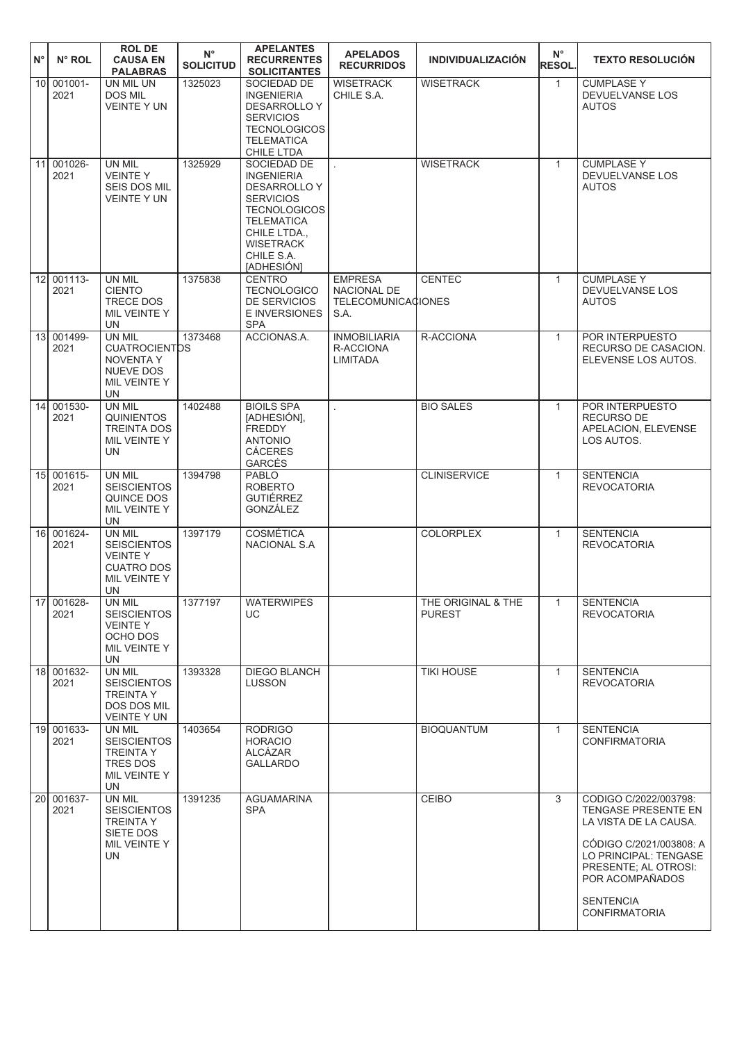|    |            | <b>ROLDE</b>                       | $N^{\circ}$      | <b>APELANTES</b>                          | <b>APELADOS</b>           |                          | $N^{\circ}$   |                                                  |
|----|------------|------------------------------------|------------------|-------------------------------------------|---------------------------|--------------------------|---------------|--------------------------------------------------|
| N° | N° ROL     | <b>CAUSA EN</b><br><b>PALABRAS</b> | <b>SOLICITUD</b> | <b>RECURRENTES</b><br><b>SOLICITANTES</b> | <b>RECURRIDOS</b>         | <b>INDIVIDUALIZACIÓN</b> | <b>RESOL.</b> | <b>TEXTO RESOLUCIÓN</b>                          |
|    | 10 001001- | UN MIL UN                          | 1325023          | SOCIEDAD DE                               | <b>WISETRACK</b>          | <b>WISETRACK</b>         | $\mathbf{1}$  | <b>CUMPLASE Y</b>                                |
|    | 2021       | DOS MIL                            |                  | <b>INGENIERIA</b>                         | CHILE S.A.                |                          |               | DEVUELVANSE LOS                                  |
|    |            | <b>VEINTE Y UN</b>                 |                  | DESARROLLO Y                              |                           |                          |               | <b>AUTOS</b>                                     |
|    |            |                                    |                  | <b>SERVICIOS</b>                          |                           |                          |               |                                                  |
|    |            |                                    |                  | <b>TECNOLOGICOS</b>                       |                           |                          |               |                                                  |
|    |            |                                    |                  | <b>TELEMATICA</b>                         |                           |                          |               |                                                  |
|    | 001026-    |                                    | 1325929          | CHILE LTDA                                |                           |                          |               | <b>CUMPLASE Y</b>                                |
| 11 | 2021       | UN MIL<br><b>VEINTEY</b>           |                  | SOCIEDAD DE<br><b>INGENIERIA</b>          |                           | <b>WISETRACK</b>         | $\mathbf{1}$  | DEVUELVANSE LOS                                  |
|    |            | <b>SEIS DOS MIL</b>                |                  | <b>DESARROLLO Y</b>                       |                           |                          |               | <b>AUTOS</b>                                     |
|    |            | <b>VEINTE Y UN</b>                 |                  | <b>SERVICIOS</b>                          |                           |                          |               |                                                  |
|    |            |                                    |                  | <b>TECNOLOGICOS</b>                       |                           |                          |               |                                                  |
|    |            |                                    |                  | <b>TELEMATICA</b>                         |                           |                          |               |                                                  |
|    |            |                                    |                  | CHILE LTDA.,                              |                           |                          |               |                                                  |
|    |            |                                    |                  | <b>WISETRACK</b><br>CHILE S.A.            |                           |                          |               |                                                  |
|    |            |                                    |                  | [ADHESIÓN]                                |                           |                          |               |                                                  |
|    | 12 001113- | UN MIL                             | 1375838          | <b>CENTRO</b>                             | <b>EMPRESA</b>            | <b>CENTEC</b>            | $\mathbf{1}$  | <b>CUMPLASE Y</b>                                |
|    | 2021       | <b>CIENTO</b>                      |                  | <b>TECNOLOGICO</b>                        | NACIONAL DE               |                          |               | DEVUELVANSE LOS                                  |
|    |            | <b>TRECE DOS</b>                   |                  | <b>DE SERVICIOS</b>                       | <b>TELECOMUNICACIONES</b> |                          |               | <b>AUTOS</b>                                     |
|    |            | MIL VEINTE Y<br>UN                 |                  | E INVERSIONES<br><b>SPA</b>               | S.A.                      |                          |               |                                                  |
|    | 13 001499- | <b>UN MIL</b>                      | 1373468          | ACCIONAS.A.                               | <b>INMOBILIARIA</b>       | R-ACCIONA                | $\mathbf{1}$  | <b>POR INTERPUESTO</b>                           |
|    | 2021       | <b>CUATROCIENTDS</b>               |                  |                                           | R-ACCIONA                 |                          |               | RECURSO DE CASACION.                             |
|    |            | <b>NOVENTA Y</b>                   |                  |                                           | <b>LIMITADA</b>           |                          |               | ELEVENSE LOS AUTOS.                              |
|    |            | <b>NUEVE DOS</b>                   |                  |                                           |                           |                          |               |                                                  |
|    |            | MIL VEINTE Y<br>UN                 |                  |                                           |                           |                          |               |                                                  |
|    | 14 001530- | UN MIL                             | 1402488          | <b>BIOILS SPA</b>                         |                           | <b>BIO SALES</b>         | $\mathbf{1}$  | POR INTERPUESTO                                  |
|    | 2021       | <b>QUINIENTOS</b>                  |                  | [ADHESIÓN],                               |                           |                          |               | RECURSO DE                                       |
|    |            | <b>TREINTA DOS</b>                 |                  | <b>FREDDY</b>                             |                           |                          |               | APELACION, ELEVENSE                              |
|    |            | MIL VEINTE Y                       |                  | <b>ANTONIO</b>                            |                           |                          |               | LOS AUTOS.                                       |
|    |            | <b>UN</b>                          |                  | <b>CÁCERES</b><br>GARCÉS                  |                           |                          |               |                                                  |
| 15 | 001615-    | UN MIL                             | 1394798          | <b>PABLO</b>                              |                           | <b>CLINISERVICE</b>      | $\mathbf{1}$  | <b>SENTENCIA</b>                                 |
|    | 2021       | <b>SEISCIENTOS</b>                 |                  | <b>ROBERTO</b>                            |                           |                          |               | <b>REVOCATORIA</b>                               |
|    |            | QUINCE DOS                         |                  | <b>GUTIÉRREZ</b>                          |                           |                          |               |                                                  |
|    |            | MIL VEINTE Y<br><b>UN</b>          |                  | GONZÁLEZ                                  |                           |                          |               |                                                  |
|    | 16 001624- | UN MIL                             | 1397179          | <b>COSMÉTICA</b>                          |                           | <b>COLORPLEX</b>         | $\mathbf{1}$  | <b>SENTENCIA</b>                                 |
|    | 2021       | <b>SEISCIENTOS</b>                 |                  | NACIONAL S.A                              |                           |                          |               | <b>REVOCATORIA</b>                               |
|    |            | <b>VEINTEY</b>                     |                  |                                           |                           |                          |               |                                                  |
|    |            | <b>CUATRO DOS</b>                  |                  |                                           |                           |                          |               |                                                  |
|    |            | MIL VEINTE Y<br>UN                 |                  |                                           |                           |                          |               |                                                  |
|    | 17 001628- | UN MIL                             | 1377197          | <b>WATERWIPES</b>                         |                           | THE ORIGINAL & THE       | $\mathbf{1}$  | <b>SENTENCIA</b>                                 |
|    | 2021       | <b>SEISCIENTOS</b>                 |                  | UC                                        |                           | <b>PUREST</b>            |               | <b>REVOCATORIA</b>                               |
|    |            | <b>VEINTEY</b>                     |                  |                                           |                           |                          |               |                                                  |
|    |            | OCHO DOS                           |                  |                                           |                           |                          |               |                                                  |
|    |            | MIL VEINTE Y<br>UN                 |                  |                                           |                           |                          |               |                                                  |
|    | 18 001632- | UN MIL                             | 1393328          | <b>DIEGO BLANCH</b>                       |                           | <b>TIKI HOUSE</b>        | $\mathbf{1}$  | <b>SENTENCIA</b>                                 |
|    | 2021       | <b>SEISCIENTOS</b>                 |                  | <b>LUSSON</b>                             |                           |                          |               | <b>REVOCATORIA</b>                               |
|    |            | <b>TREINTA Y</b>                   |                  |                                           |                           |                          |               |                                                  |
|    |            | <b>DOS DOS MIL</b>                 |                  |                                           |                           |                          |               |                                                  |
|    | 19 001633- | <b>VEINTE Y UN</b><br>UN MIL       | 1403654          | <b>RODRIGO</b>                            |                           | <b>BIOQUANTUM</b>        | $\mathbf{1}$  | <b>SENTENCIA</b>                                 |
|    | 2021       | <b>SEISCIENTOS</b>                 |                  | <b>HORACIO</b>                            |                           |                          |               | <b>CONFIRMATORIA</b>                             |
|    |            | <b>TREINTA Y</b>                   |                  | ALCÁZAR                                   |                           |                          |               |                                                  |
|    |            | TRES DOS                           |                  | <b>GALLARDO</b>                           |                           |                          |               |                                                  |
|    |            | MIL VEINTE Y<br>UN                 |                  |                                           |                           |                          |               |                                                  |
|    | 20 001637- | UN MIL                             | 1391235          | <b>AGUAMARINA</b>                         |                           | CEIBO                    | 3             | CODIGO C/2022/003798:                            |
|    | 2021       | <b>SEISCIENTOS</b>                 |                  | <b>SPA</b>                                |                           |                          |               | <b>TENGASE PRESENTE EN</b>                       |
|    |            | <b>TREINTA Y</b>                   |                  |                                           |                           |                          |               | LA VISTA DE LA CAUSA.                            |
|    |            | SIETE DOS                          |                  |                                           |                           |                          |               |                                                  |
|    |            | MIL VEINTE Y<br><b>UN</b>          |                  |                                           |                           |                          |               | CODIGO C/2021/003808: A<br>LO PRINCIPAL: TENGASE |
|    |            |                                    |                  |                                           |                           |                          |               | PRESENTE: AL OTROSI:                             |
|    |            |                                    |                  |                                           |                           |                          |               | POR ACOMPAÑADOS                                  |
|    |            |                                    |                  |                                           |                           |                          |               |                                                  |
|    |            |                                    |                  |                                           |                           |                          |               | <b>SENTENCIA</b><br><b>CONFIRMATORIA</b>         |
|    |            |                                    |                  |                                           |                           |                          |               |                                                  |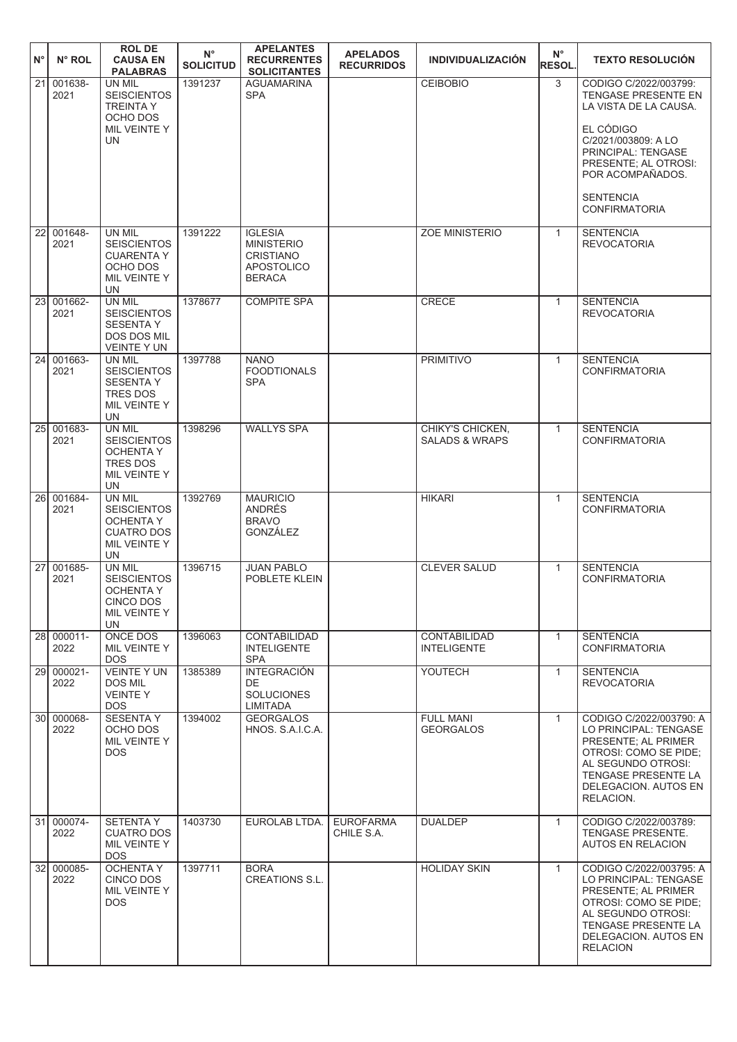| $N^{\circ}$     | $N^{\circ}$ ROL         | <b>ROL DE</b><br><b>CAUSA EN</b><br><b>PALABRAS</b>                                               | $N^{\circ}$<br><b>SOLICITUD</b> | <b>APELANTES</b><br><b>RECURRENTES</b><br><b>SOLICITANTES</b>                                 | <b>APELADOS</b><br><b>RECURRIDOS</b> | <b>INDIVIDUALIZACIÓN</b>                      | $N^{\circ}$<br><b>RESOL.</b> | <b>TEXTO RESOLUCIÓN</b>                                                                                                                                                                  |
|-----------------|-------------------------|---------------------------------------------------------------------------------------------------|---------------------------------|-----------------------------------------------------------------------------------------------|--------------------------------------|-----------------------------------------------|------------------------------|------------------------------------------------------------------------------------------------------------------------------------------------------------------------------------------|
| $\overline{21}$ | 001638-<br>2021         | UN MIL<br><b>SEISCIENTOS</b><br><b>TREINTA Y</b><br>OCHO DOS                                      | 1391237                         | <b>AGUAMARINA</b><br><b>SPA</b>                                                               |                                      | <b>CEIBOBIO</b>                               | 3                            | CODIGO C/2022/003799:<br>TENGASE PRESENTE EN<br>LA VISTA DE LA CAUSA.                                                                                                                    |
|                 |                         | MIL VEINTE Y<br><b>UN</b>                                                                         |                                 |                                                                                               |                                      |                                               |                              | EL CÓDIGO<br>C/2021/003809: A LO<br>PRINCIPAL: TENGASE<br>PRESENTE; AL OTROSI:<br>POR ACOMPAÑADOS.                                                                                       |
|                 |                         |                                                                                                   |                                 |                                                                                               |                                      |                                               |                              | <b>SENTENCIA</b><br><b>CONFIRMATORIA</b>                                                                                                                                                 |
| $\overline{22}$ | 001648-<br>2021         | UN MIL<br><b>SEISCIENTOS</b><br><b>CUARENTA Y</b><br>OCHO DOS<br>MIL VEINTE Y<br><b>UN</b>        | 1391222                         | <b>IGLESIA</b><br><b>MINISTERIO</b><br><b>CRISTIANO</b><br><b>APOSTOLICO</b><br><b>BERACA</b> |                                      | <b>ZOE MINISTERIO</b>                         | $\mathbf{1}$                 | <b>SENTENCIA</b><br><b>REVOCATORIA</b>                                                                                                                                                   |
|                 | 23 001662-<br>2021      | UN MIL<br><b>SEISCIENTOS</b><br><b>SESENTA Y</b><br><b>DOS DOS MIL</b><br><b>VEINTE Y UN</b>      | 1378677                         | <b>COMPITE SPA</b>                                                                            |                                      | <b>CRECE</b>                                  | $\mathbf{1}$                 | <b>SENTENCIA</b><br><b>REVOCATORIA</b>                                                                                                                                                   |
|                 | 24 001663-<br>2021      | UN MIL<br><b>SEISCIENTOS</b><br><b>SESENTA Y</b><br><b>TRES DOS</b><br>MIL VEINTE Y<br>UN         | 1397788                         | <b>NANO</b><br><b>FOODTIONALS</b><br><b>SPA</b>                                               |                                      | <b>PRIMITIVO</b>                              | $\mathbf{1}$                 | <b>SENTENCIA</b><br><b>CONFIRMATORIA</b>                                                                                                                                                 |
| 25 <sub>l</sub> | 001683-<br>2021         | UN MIL<br><b>SEISCIENTOS</b><br><b>OCHENTA Y</b><br>TRES DOS<br>MIL VEINTE Y<br><b>UN</b>         | 1398296                         | <b>WALLYS SPA</b>                                                                             |                                      | CHIKY'S CHICKEN,<br><b>SALADS &amp; WRAPS</b> | $\mathbf{1}$                 | <b>SENTENCIA</b><br><b>CONFIRMATORIA</b>                                                                                                                                                 |
| 26I             | 001684-<br>2021         | UN MIL<br><b>SEISCIENTOS</b><br><b>OCHENTA Y</b><br><b>CUATRO DOS</b><br>MIL VEINTE Y<br>UN       | 1392769                         | <b>MAURICIO</b><br><b>ANDRÉS</b><br><b>BRAVO</b><br><b>GONZÁLEZ</b>                           |                                      | <b>HIKARI</b>                                 | $\mathbf{1}$                 | <b>SENTENCIA</b><br><b>CONFIRMATORIA</b>                                                                                                                                                 |
|                 | 27 001685-<br>2021      | UN MIL<br><b>SEISCIENTOS</b><br><b>OCHENTA Y</b><br><b>CINCO DOS</b><br>MIL VEINTE Y<br><b>UN</b> | 1396715                         | <b>JUAN PABLO</b><br>POBLETE KLEIN                                                            |                                      | <b>CLEVER SALUD</b>                           | $\mathbf{1}$                 | <b>SENTENCIA</b><br><b>CONFIRMATORIA</b>                                                                                                                                                 |
|                 | $28   000011 -$<br>2022 | <b>ONCE DOS</b><br>MIL VEINTE Y<br>DOS.                                                           | 1396063                         | <b>CONTABILIDAD</b><br><b>INTELIGENTE</b><br><b>SPA</b>                                       |                                      | <b>CONTABILIDAD</b><br><b>INTELIGENTE</b>     | $\mathbf{1}$                 | <b>SENTENCIA</b><br><b>CONFIRMATORIA</b>                                                                                                                                                 |
|                 | 29 000021-<br>2022      | <b>VEINTE Y UN</b><br><b>DOS MIL</b><br><b>VEINTEY</b><br><b>DOS</b>                              | 1385389                         | <b>INTEGRACIÓN</b><br>DE.<br><b>SOLUCIONES</b><br>LIMITADA                                    |                                      | YOUTECH                                       | $\mathbf{1}$                 | <b>SENTENCIA</b><br><b>REVOCATORIA</b>                                                                                                                                                   |
|                 | 30 000068-<br>2022      | <b>SESENTAY</b><br>OCHO DOS<br>MIL VEINTE Y<br><b>DOS</b>                                         | 1394002                         | <b>GEORGALOS</b><br>HNOS. S.A.I.C.A.                                                          |                                      | <b>FULL MANI</b><br><b>GEORGALOS</b>          | $\mathbf{1}$                 | CODIGO C/2022/003790: A<br>LO PRINCIPAL: TENGASE<br>PRESENTE; AL PRIMER<br>OTROSI: COMO SE PIDE;<br>AL SEGUNDO OTROSI:<br>TENGASE PRESENTE LA<br>DELEGACION. AUTOS EN<br>RELACION.       |
|                 | 31 000074-<br>2022      | <b>SETENTAY</b><br><b>CUATRO DOS</b><br>MIL VEINTE Y<br><b>DOS</b>                                | 1403730                         | EUROLAB LTDA.                                                                                 | <b>EUROFARMA</b><br>CHILE S.A.       | <b>DUALDEP</b>                                | $\mathbf{1}$                 | CODIGO C/2022/003789:<br><b>TENGASE PRESENTE.</b><br><b>AUTOS EN RELACION</b>                                                                                                            |
|                 | 32 000085-<br>2022      | <b>OCHENTA Y</b><br>CINCO DOS<br>MIL VEINTE Y<br>DOS.                                             | 1397711                         | <b>BORA</b><br><b>CREATIONS S.L.</b>                                                          |                                      | <b>HOLIDAY SKIN</b>                           | $\mathbf{1}$                 | CODIGO C/2022/003795: A<br>LO PRINCIPAL: TENGASE<br>PRESENTE; AL PRIMER<br>OTROSI: COMO SE PIDE;<br>AL SEGUNDO OTROSI:<br>TENGASE PRESENTE LA<br>DELEGACION. AUTOS EN<br><b>RELACION</b> |